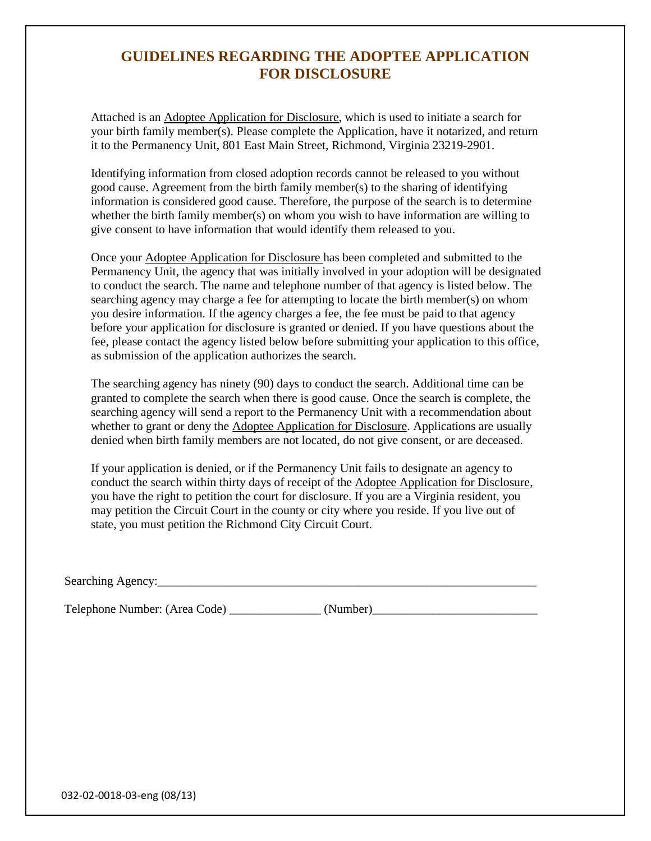## **GUIDELINES REGARDING THE ADOPTEE APPLICATION FOR DISCLOSURE**

Attached is an Adoptee Application for Disclosure, which is used to initiate a search for your birth family member(s). Please complete the Application, have it notarized, and return it to the Permanency Unit, 801 East Main Street, Richmond, Virginia 23219-2901.

Identifying information from closed adoption records cannot be released to you without good cause. Agreement from the birth family member(s) to the sharing of identifying information is considered good cause. Therefore, the purpose of the search is to determine whether the birth family member(s) on whom you wish to have information are willing to give consent to have information that would identify them released to you.

Once your Adoptee Application for Disclosure has been completed and submitted to the Permanency Unit, the agency that was initially involved in your adoption will be designated to conduct the search. The name and telephone number of that agency is listed below. The searching agency may charge a fee for attempting to locate the birth member(s) on whom you desire information. If the agency charges a fee, the fee must be paid to that agency before your application for disclosure is granted or denied. If you have questions about the fee, please contact the agency listed below before submitting your application to this office, as submission of the application authorizes the search.

The searching agency has ninety (90) days to conduct the search. Additional time can be granted to complete the search when there is good cause. Once the search is complete, the searching agency will send a report to the Permanency Unit with a recommendation about whether to grant or deny the Adoptee Application for Disclosure. Applications are usually denied when birth family members are not located, do not give consent, or are deceased.

If your application is denied, or if the Permanency Unit fails to designate an agency to conduct the search within thirty days of receipt of the Adoptee Application for Disclosure, you have the right to petition the court for disclosure. If you are a Virginia resident, you may petition the Circuit Court in the county or city where you reside. If you live out of state, you must petition the Richmond City Circuit Court.

Searching Agency:\_\_\_\_\_\_\_\_\_\_\_\_\_\_\_\_\_\_\_\_\_\_\_\_\_\_\_\_\_\_\_\_\_\_\_\_\_\_\_\_\_\_\_\_\_\_\_\_\_\_\_\_\_\_\_\_\_\_\_\_\_\_

Telephone Number: (Area Code) \_\_\_\_\_\_\_\_\_\_\_\_\_\_\_\_ (Number) \_\_\_\_\_\_\_\_\_\_\_\_\_\_\_\_\_\_\_\_\_\_\_\_

032-02-0018-03-eng (08/13)